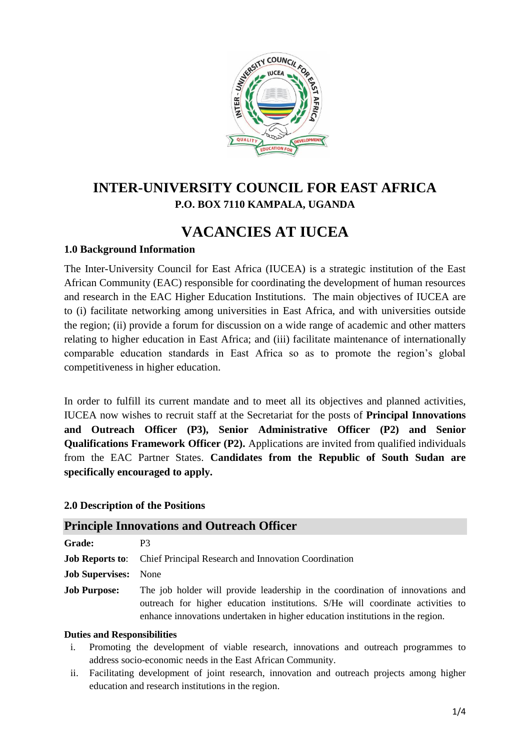

## **INTER-UNIVERSITY COUNCIL FOR EAST AFRICA P.O. BOX 7110 KAMPALA, UGANDA**

# **VACANCIES AT IUCEA**

## **1.0 Background Information**

The Inter-University Council for East Africa (IUCEA) is a strategic institution of the East African Community (EAC) responsible for coordinating the development of human resources and research in the EAC Higher Education Institutions. The main objectives of IUCEA are to (i) facilitate networking among universities in East Africa, and with universities outside the region; (ii) provide a forum for discussion on a wide range of academic and other matters relating to higher education in East Africa; and (iii) facilitate maintenance of internationally comparable education standards in East Africa so as to promote the region's global competitiveness in higher education.

In order to fulfill its current mandate and to meet all its objectives and planned activities, IUCEA now wishes to recruit staff at the Secretariat for the posts of **Principal Innovations and Outreach Officer (P3), Senior Administrative Officer (P2) and Senior Qualifications Framework Officer (P2).** Applications are invited from qualified individuals from the EAC Partner States. **Candidates from the Republic of South Sudan are specifically encouraged to apply.**

## **2.0 Description of the Positions**

## **Principle Innovations and Outreach Officer**

| <b>Grade:</b>               | P3                                                                                                                                                                                                                                                |
|-----------------------------|---------------------------------------------------------------------------------------------------------------------------------------------------------------------------------------------------------------------------------------------------|
|                             | <b>Job Reports to:</b> Chief Principal Research and Innovation Coordination                                                                                                                                                                       |
| <b>Job Supervises:</b> None |                                                                                                                                                                                                                                                   |
| <b>Job Purpose:</b>         | The job holder will provide leadership in the coordination of innovations and<br>outreach for higher education institutions. S/He will coordinate activities to<br>enhance innovations undertaken in higher education institutions in the region. |

#### **Duties and Responsibilities**

- i. Promoting the development of viable research, innovations and outreach programmes to address socio-economic needs in the East African Community.
- ii. Facilitating development of joint research, innovation and outreach projects among higher education and research institutions in the region.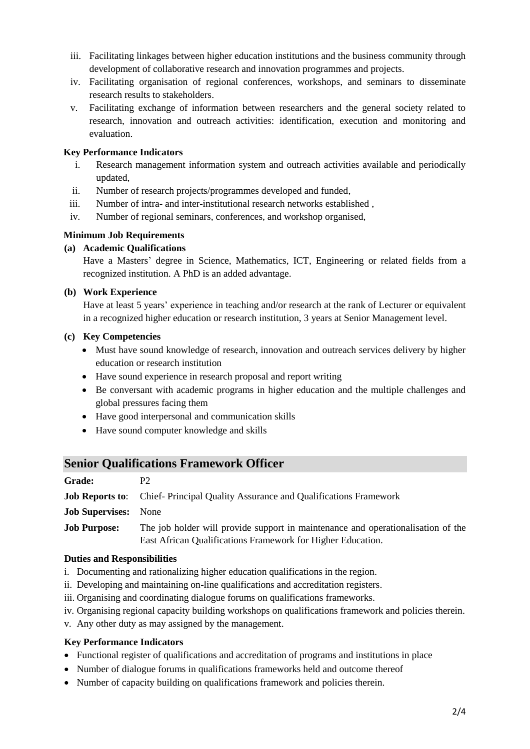- iii. Facilitating linkages between higher education institutions and the business community through development of collaborative research and innovation programmes and projects.
- iv. Facilitating organisation of regional conferences, workshops, and seminars to disseminate research results to stakeholders.
- v. Facilitating exchange of information between researchers and the general society related to research, innovation and outreach activities: identification, execution and monitoring and evaluation.

#### **Key Performance Indicators**

- i. Research management information system and outreach activities available and periodically updated,
- ii. Number of research projects/programmes developed and funded,
- iii. Number of intra- and inter-institutional research networks established ,
- iv. Number of regional seminars, conferences, and workshop organised,

#### **Minimum Job Requirements**

#### **(a) Academic Qualifications**

Have a Masters' degree in Science, Mathematics, ICT, Engineering or related fields from a recognized institution. A PhD is an added advantage.

#### **(b) Work Experience**

Have at least 5 years' experience in teaching and/or research at the rank of Lecturer or equivalent in a recognized higher education or research institution, 3 years at Senior Management level.

#### **(c) Key Competencies**

- Must have sound knowledge of research, innovation and outreach services delivery by higher education or research institution
- Have sound experience in research proposal and report writing
- Be conversant with academic programs in higher education and the multiple challenges and global pressures facing them
- Have good interpersonal and communication skills
- Have sound computer knowledge and skills

## **Senior Qualifications Framework Officer**

| Grade:                      | P2                                                                                                                                              |
|-----------------------------|-------------------------------------------------------------------------------------------------------------------------------------------------|
|                             | <b>Job Reports to:</b> Chief-Principal Quality Assurance and Qualifications Framework                                                           |
| <b>Job Supervises:</b> None |                                                                                                                                                 |
| <b>Job Purpose:</b>         | The job holder will provide support in maintenance and operationalisation of the<br>East African Qualifications Framework for Higher Education. |

#### **Duties and Responsibilities**

- i. Documenting and rationalizing higher education qualifications in the region.
- ii. Developing and maintaining on-line qualifications and accreditation registers.
- iii. Organising and coordinating dialogue forums on qualifications frameworks.
- iv. Organising regional capacity building workshops on qualifications framework and policies therein.
- v. Any other duty as may assigned by the management.

#### **Key Performance Indicators**

- Functional register of qualifications and accreditation of programs and institutions in place
- Number of dialogue forums in qualifications frameworks held and outcome thereof
- Number of capacity building on qualifications framework and policies therein.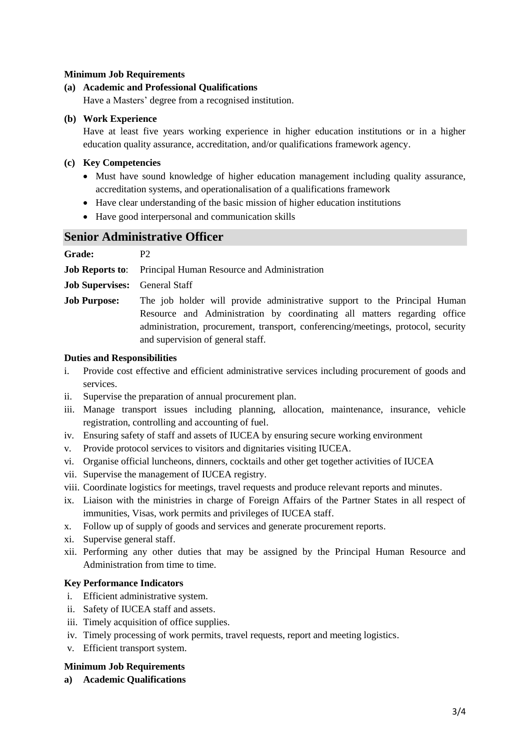#### **Minimum Job Requirements**

#### **(a) Academic and Professional Qualifications**

Have a Masters' degree from a recognised institution.

#### **(b) Work Experience**

Have at least five years working experience in higher education institutions or in a higher education quality assurance, accreditation, and/or qualifications framework agency.

#### **(c) Key Competencies**

- Must have sound knowledge of higher education management including quality assurance, accreditation systems, and operationalisation of a qualifications framework
- Have clear understanding of the basic mission of higher education institutions
- Have good interpersonal and communication skills

## **Senior Administrative Officer**

| Grade:                               | P <sub>2</sub>                                                                                                                                                                                                                                                                  |
|--------------------------------------|---------------------------------------------------------------------------------------------------------------------------------------------------------------------------------------------------------------------------------------------------------------------------------|
|                                      | <b>Job Reports to:</b> Principal Human Resource and Administration                                                                                                                                                                                                              |
| <b>Job Supervises:</b> General Staff |                                                                                                                                                                                                                                                                                 |
| <b>Job Purpose:</b>                  | The job holder will provide administrative support to the Principal Human<br>Resource and Administration by coordinating all matters regarding office<br>administration, procurement, transport, conferencing/meetings, protocol, security<br>and supervision of general staff. |

#### **Duties and Responsibilities**

- i. Provide cost effective and efficient administrative services including procurement of goods and services.
- ii. Supervise the preparation of annual procurement plan.
- iii. Manage transport issues including planning, allocation, maintenance, insurance, vehicle registration, controlling and accounting of fuel.
- iv. Ensuring safety of staff and assets of IUCEA by ensuring secure working environment
- v. Provide protocol services to visitors and dignitaries visiting IUCEA.
- vi. Organise official luncheons, dinners, cocktails and other get together activities of IUCEA
- vii. Supervise the management of IUCEA registry.
- viii. Coordinate logistics for meetings, travel requests and produce relevant reports and minutes.
- ix. Liaison with the ministries in charge of Foreign Affairs of the Partner States in all respect of immunities, Visas, work permits and privileges of IUCEA staff.
- x. Follow up of supply of goods and services and generate procurement reports.
- xi. Supervise general staff.
- xii. Performing any other duties that may be assigned by the Principal Human Resource and Administration from time to time.

#### **Key Performance Indicators**

- i. Efficient administrative system.
- ii. Safety of IUCEA staff and assets.
- iii. Timely acquisition of office supplies.
- iv. Timely processing of work permits, travel requests, report and meeting logistics.
- v. Efficient transport system.

#### **Minimum Job Requirements**

**a) Academic Qualifications**